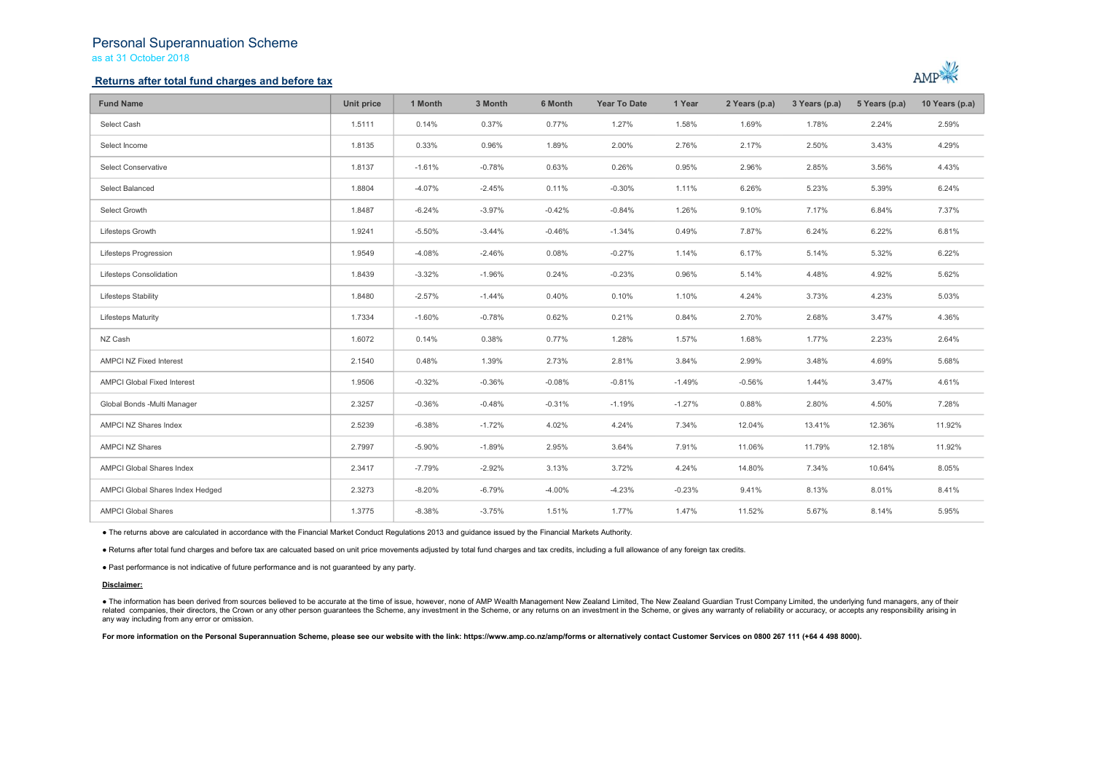## Personal Superannuation Scheme as at 31 October 2018

## Returns after total fund charges and before tax



| <b>Fund Name</b>                   | Unit price | 1 Month  | 3 Month  | 6 Month  | <b>Year To Date</b> | 1 Year   | 2 Years (p.a) | 3 Years (p.a) | 5 Years (p.a) | 10 Years (p.a) |
|------------------------------------|------------|----------|----------|----------|---------------------|----------|---------------|---------------|---------------|----------------|
| Select Cash                        | 1.5111     | 0.14%    | 0.37%    | 0.77%    | 1.27%               | 1.58%    | 1.69%         | 1.78%         | 2.24%         | 2.59%          |
| Select Income                      | 1.8135     | 0.33%    | 0.96%    | 1.89%    | 2.00%               | 2.76%    | 2.17%         | 2.50%         | 3.43%         | 4.29%          |
| Select Conservative                | 1.8137     | $-1.61%$ | $-0.78%$ | 0.63%    | 0.26%               | 0.95%    | 2.96%         | 2.85%         | 3.56%         | 4.43%          |
| Select Balanced                    | 1.8804     | $-4.07%$ | $-2.45%$ | 0.11%    | $-0.30%$            | 1.11%    | 6.26%         | 5.23%         | 5.39%         | 6.24%          |
| Select Growth                      | 1.8487     | $-6.24%$ | $-3.97%$ | $-0.42%$ | $-0.84%$            | 1.26%    | 9.10%         | 7.17%         | 6.84%         | 7.37%          |
| Lifesteps Growth                   | 1.9241     | $-5.50%$ | $-3.44%$ | $-0.46%$ | $-1.34%$            | 0.49%    | 7.87%         | 6.24%         | 6.22%         | 6.81%          |
| Lifesteps Progression              | 1.9549     | $-4.08%$ | $-2.46%$ | 0.08%    | $-0.27%$            | 1.14%    | 6.17%         | 5.14%         | 5.32%         | 6.22%          |
| Lifesteps Consolidation            | 1.8439     | $-3.32%$ | $-1.96%$ | 0.24%    | $-0.23%$            | 0.96%    | 5.14%         | 4.48%         | 4.92%         | 5.62%          |
| Lifesteps Stability                | 1.8480     | $-2.57%$ | $-1.44%$ | 0.40%    | 0.10%               | 1.10%    | 4.24%         | 3.73%         | 4.23%         | 5.03%          |
| <b>Lifesteps Maturity</b>          | 1.7334     | $-1.60%$ | $-0.78%$ | 0.62%    | 0.21%               | 0.84%    | 2.70%         | 2.68%         | 3.47%         | 4.36%          |
| NZ Cash                            | 1.6072     | 0.14%    | 0.38%    | 0.77%    | 1.28%               | 1.57%    | 1.68%         | 1.77%         | 2.23%         | 2.64%          |
| <b>AMPCI NZ Fixed Interest</b>     | 2.1540     | 0.48%    | 1.39%    | 2.73%    | 2.81%               | 3.84%    | 2.99%         | 3.48%         | 4.69%         | 5.68%          |
| <b>AMPCI Global Fixed Interest</b> | 1.9506     | $-0.32%$ | $-0.36%$ | $-0.08%$ | $-0.81%$            | $-1.49%$ | $-0.56%$      | 1.44%         | 3.47%         | 4.61%          |
| Global Bonds -Multi Manager        | 2.3257     | $-0.36%$ | $-0.48%$ | $-0.31%$ | $-1.19%$            | $-1.27%$ | 0.88%         | 2.80%         | 4.50%         | 7.28%          |
| AMPCI NZ Shares Index              | 2.5239     | $-6.38%$ | $-1.72%$ | 4.02%    | 4.24%               | 7.34%    | 12.04%        | 13.41%        | 12.36%        | 11.92%         |
| <b>AMPCI NZ Shares</b>             | 2.7997     | $-5.90%$ | $-1.89%$ | 2.95%    | 3.64%               | 7.91%    | 11.06%        | 11.79%        | 12.18%        | 11.92%         |
| <b>AMPCI Global Shares Index</b>   | 2.3417     | $-7.79%$ | $-2.92%$ | 3.13%    | 3.72%               | 4.24%    | 14.80%        | 7.34%         | 10.64%        | 8.05%          |
| AMPCI Global Shares Index Hedged   | 2.3273     | $-8.20%$ | $-6.79%$ | $-4.00%$ | $-4.23%$            | $-0.23%$ | 9.41%         | 8.13%         | 8.01%         | 8.41%          |
| <b>AMPCI Global Shares</b>         | 1.3775     | $-8.38%$ | $-3.75%$ | 1.51%    | 1.77%               | 1.47%    | 11.52%        | 5.67%         | 8.14%         | 5.95%          |

● The returns above are calculated in accordance with the Financial Market Conduct Regulations 2013 and guidance issued by the Financial Markets Authority.

● Returns after total fund charges and before tax are calcuated based on unit price movements adjusted by total fund charges and tax credits, including a full allowance of any foreign tax credits.

● Past performance is not indicative of future performance and is not guaranteed by any party.

### Disclaimer:

. The information has been derived from sources believed to be accurate at the time of issue, however, none of AMP Wealth Management New Zealand Limited, The New Zealand Guardian Trust Company Limited, the underlying fund related companies, their directors, the Crown or any other person quarantees the Scheme, any investment in the Scheme, or any returns on an investment in the Scheme, or gives any warranty of reliability or accuracy, or acc any way including from any error or omission.

For more information on the Personal Superannuation Scheme, please see our website with the link: https://www.amp.co.nz/amp/forms or alternatively contact Customer Services on 0800 267 111 (+64 4 498 8000).